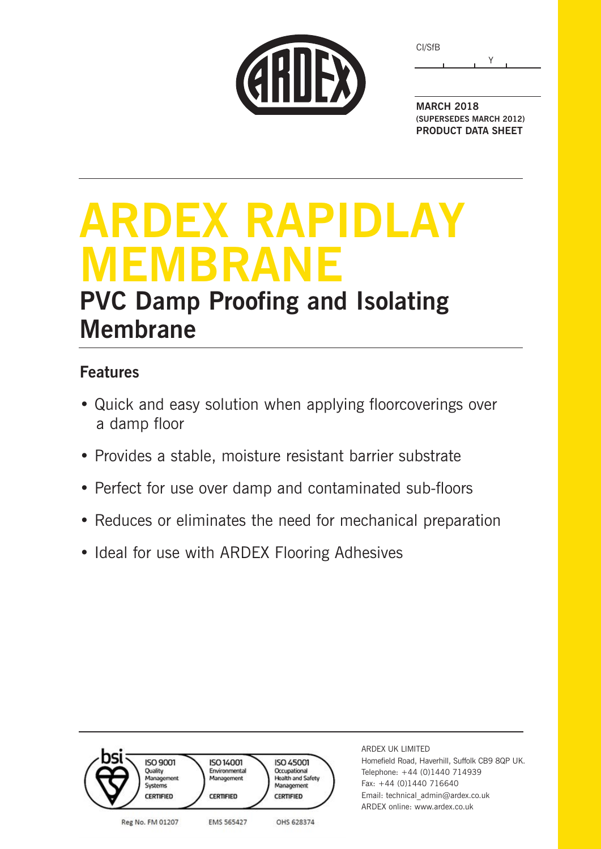| CI/SfB |  |  |
|--------|--|--|
|        |  |  |



**MARCH 2018 (SUPERSEDES MARCH 2012) PRODUCT DATA SHEET**

# **ARDEX RAPIDLAY MEMBRANE PVC Damp Proofing and Isolating Membrane**

### **Features**

- Quick and easy solution when applying floorcoverings over a damp floor
- Provides a stable, moisture resistant barrier substrate
- Perfect for use over damp and contaminated sub-floors
- Reduces or eliminates the need for mechanical preparation
- Ideal for use with ARDEX Flooring Adhesives

| <b>ISO 9001</b><br>Ouality<br>Management<br>Systems<br><b>CERTIFIED</b> | <b>ISO 14001</b><br>Environmental<br>Management<br><b>CERTIFIED</b> | <b>ISO 45001</b><br>Occupational<br>Health and Safety<br>Management<br><b>CERTIFIED</b> | ARDEX UK LIMITED<br>Homefield Road, Haverhill, Suffolk CB9 8QP UK.<br>Telephone: +44 (0)1440 714939<br>Fax: $+44$ (0)1440 716640<br>Email: technical admin@ardex.co.uk<br>ARDEX online: www.ardex.co.uk |
|-------------------------------------------------------------------------|---------------------------------------------------------------------|-----------------------------------------------------------------------------------------|---------------------------------------------------------------------------------------------------------------------------------------------------------------------------------------------------------|
| Reg No. FM 01207                                                        | <b>EMS 565427</b>                                                   | OHS 628374                                                                              |                                                                                                                                                                                                         |